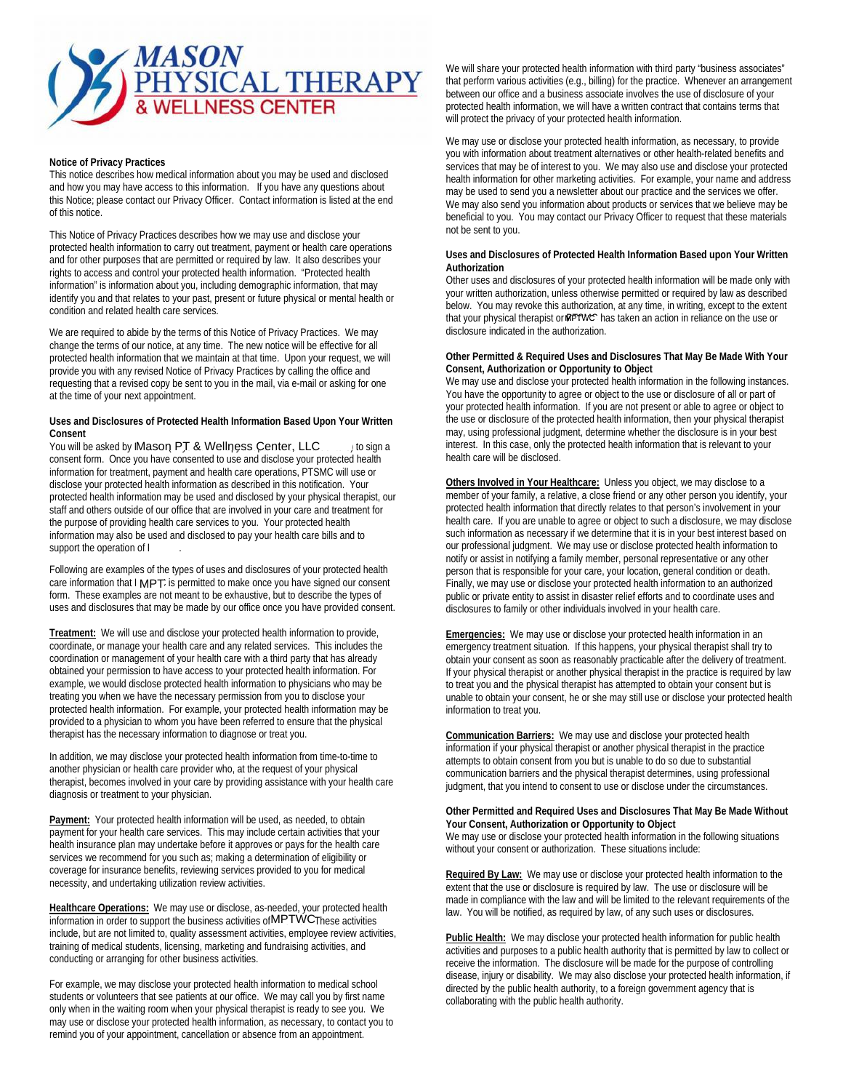# MASON<br>PHYSICAL THERAPY

# **Notice of Privacy Practices**

This notice describes how medical information about you may be used and disclosed and how you may have access to this information. If you have any questions about this Notice; please contact our Privacy Officer. Contact information is listed at the end of this notice.

This Notice of Privacy Practices describes how we may use and disclose your protected health information to carry out treatment, payment or health care operations and for other purposes that are permitted or required by law. It also describes your rights to access and control your protected health information. "Protected health information" is information about you, including demographic information, that may identify you and that relates to your past, present or future physical or mental health or condition and related health care services.

We are required to abide by the terms of this Notice of Privacy Practices. We may change the terms of our notice, at any time. The new notice will be effective for all protected health information that we maintain at that time. Upon your request, we will provide you with any revised Notice of Privacy Practices by calling the office and requesting that a revised copy be sent to you in the mail, via e-mail or asking for one at the time of your next appointment.

## **Uses and Disclosures of Protected Health Information Based Upon Your Written Consent**

You will be asked by IMason PT & Wellness Center, LLC enters, to sign a consent form. Once you have consented to use and disclose your protected health information for treatment, payment and health care operations, PTSMC will use or disclose your protected health information as described in this notification. Your protected health information may be used and disclosed by your physical therapist, our staff and others outside of our office that are involved in your care and treatment for the purpose of providing health care services to you. Your protected health information may also be used and disclosed to pay your health care bills and to support the operation of I

Following are examples of the types of uses and disclosures of your protected health care information that  $\mathsf{I}$  MPT is permitted to make once you have signed our consent form. These examples are not meant to be exhaustive, but to describe the types of uses and disclosures that may be made by our office once you have provided consent.

**Treatment:** We will use and disclose your protected health information to provide, coordinate, or manage your health care and any related services. This includes the coordination or management of your health care with a third party that has already obtained your permission to have access to your protected health information. For example, we would disclose protected health information to physicians who may be treating you when we have the necessary permission from you to disclose your protected health information. For example, your protected health information may be provided to a physician to whom you have been referred to ensure that the physical therapist has the necessary information to diagnose or treat you.

In addition, we may disclose your protected health information from time-to-time to another physician or health care provider who, at the request of your physical therapist, becomes involved in your care by providing assistance with your health care diagnosis or treatment to your physician.

Payment: Your protected health information will be used, as needed, to obtain payment for your health care services. This may include certain activities that your health insurance plan may undertake before it approves or pays for the health care services we recommend for you such as; making a determination of eligibility or coverage for insurance benefits, reviewing services provided to you for medical necessity, and undertaking utilization review activities.

**Healthcare Operations:** We may use or disclose, as-needed, your protected health information in order to support the business activities of MPTWCThese activities include, but are not limited to, quality assessment activities, employee review activities, training of medical students, licensing, marketing and fundraising activities, and conducting or arranging for other business activities.

For example, we may disclose your protected health information to medical school students or volunteers that see patients at our office. We may call you by first name only when in the waiting room when your physical therapist is ready to see you. We may use or disclose your protected health information, as necessary, to contact you to remind you of your appointment, cancellation or absence from an appointment.

We will share your protected health information with third party "business associates" that perform various activities (e.g., billing) for the practice. Whenever an arrangement between our office and a business associate involves the use of disclosure of your protected health information, we will have a written contract that contains terms that will protect the privacy of your protected health information.

We may use or disclose your protected health information, as necessary, to provide you with information about treatment alternatives or other health-related benefits and services that may be of interest to you. We may also use and disclose your protected health information for other marketing activities. For example, your name and address may be used to send you a newsletter about our practice and the services we offer. We may also send you information about products or services that we believe may be beneficial to you. You may contact our Privacy Officer to request that these materials not be sent to you.

## **Uses and Disclosures of Protected Health Information Based upon Your Written Authorization**

Other uses and disclosures of your protected health information will be made only with your written authorization, unless otherwise permitted or required by law as described below. You may revoke this authorization, at any time, in writing, except to the extent that your physical therapist or  $\overline{M}$ PTWC has taken an action in reliance on the use or disclosure indicated in the authorization.

## **Other Permitted & Required Uses and Disclosures That May Be Made With Your Consent, Authorization or Opportunity to Object**

We may use and disclose your protected health information in the following instances. You have the opportunity to agree or object to the use or disclosure of all or part of your protected health information. If you are not present or able to agree or object to the use or disclosure of the protected health information, then your physical therapist may, using professional judgment, determine whether the disclosure is in your best interest. In this case, only the protected health information that is relevant to your health care will be disclosed.

**Others Involved in Your Healthcare:** Unless you object, we may disclose to a member of your family, a relative, a close friend or any other person you identify, your protected health information that directly relates to that person's involvement in your health care. If you are unable to agree or object to such a disclosure, we may disclose such information as necessary if we determine that it is in your best interest based on our professional judgment. We may use or disclose protected health information to notify or assist in notifying a family member, personal representative or any other person that is responsible for your care, your location, general condition or death. Finally, we may use or disclose your protected health information to an authorized public or private entity to assist in disaster relief efforts and to coordinate uses and disclosures to family or other individuals involved in your health care.

**Emergencies:** We may use or disclose your protected health information in an emergency treatment situation. If this happens, your physical therapist shall try to obtain your consent as soon as reasonably practicable after the delivery of treatment. If your physical therapist or another physical therapist in the practice is required by law to treat you and the physical therapist has attempted to obtain your consent but is unable to obtain your consent, he or she may still use or disclose your protected health information to treat you.

**Communication Barriers:** We may use and disclose your protected health information if your physical therapist or another physical therapist in the practice attempts to obtain consent from you but is unable to do so due to substantial communication barriers and the physical therapist determines, using professional judgment, that you intend to consent to use or disclose under the circumstances.

#### **Other Permitted and Required Uses and Disclosures That May Be Made Without Your Consent, Authorization or Opportunity to Object**

We may use or disclose your protected health information in the following situations without your consent or authorization. These situations include:

**Required By Law:** We may use or disclose your protected health information to the extent that the use or disclosure is required by law. The use or disclosure will be made in compliance with the law and will be limited to the relevant requirements of the law. You will be notified, as required by law, of any such uses or disclosures.

**Public Health:** We may disclose your protected health information for public health activities and purposes to a public health authority that is permitted by law to collect or receive the information. The disclosure will be made for the purpose of controlling disease, injury or disability. We may also disclose your protected health information, if directed by the public health authority, to a foreign government agency that is collaborating with the public health authority.